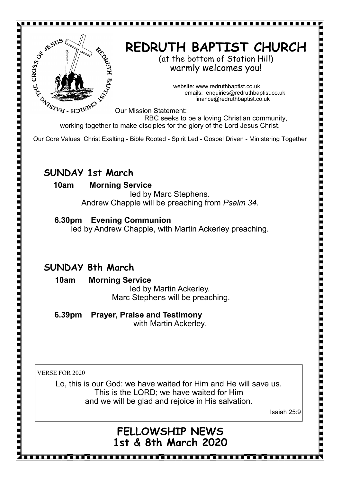

For the company of the company of the company of the company of the company of the company of the company of the company of the company of the company of the company of the company of the company of the company of the comp

For the company of the company of the company of the company of the company of the company of the company of the company of the company of the company of the company of the company of the company of the company of the comp

# **REDRUTH BAPTIST CHURCH**

(at the bottom of Station Hill) warmly welcomes you!

> website: www.redruthbaptist.co.uk emails: enquiries@redruthbaptist.co.uk finance@redruthbaptist.co.uk

Our Mission Statement:

RBC seeks to be a loving Christian community, working together to make disciples for the glory of the Lord Jesus Christ.

Our Core Values: Christ Exalting - Bible Rooted - Spirit Led - Gospel Driven - Ministering Together

### **SUNDAY 1st March**

#### **10am Morning Service**

led by Marc Stephens. Andrew Chapple will be preaching from *Psalm 34.*

#### **6.30pm Evening Communion**

led by Andrew Chapple, with Martin Ackerley preaching.

## **SUNDAY 8th March**

 **10am Morning Service**  led by Martin Ackerley. Marc Stephens will be preaching.

 **6.39pm Prayer, Praise and Testimony** with Martin Ackerley.

VERSE FOR 2020

Lo, this is our God: we have waited for Him and He will save us. This is the LORD; we have waited for Him and we will be glad and rejoice in His salvation.

Isaiah 25:9

<u>maa saanaa maalaa maalaa maalaa maalaa maalaa maa</u>

# **FELLOWSHIP NEWS 1st & 8th March 2020**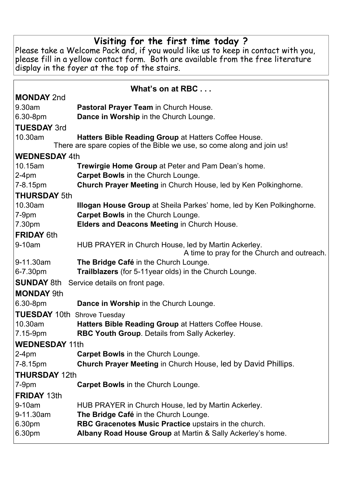#### **Visiting for the first time today ?**

Please take a Welcome Pack and, if you would like us to keep in contact with you, please fill in a yellow contact form. Both are available from the free literature display in the foyer at the top of the stairs.

| What's on at RBC                                                       |                                                                                                    |  |  |  |  |  |
|------------------------------------------------------------------------|----------------------------------------------------------------------------------------------------|--|--|--|--|--|
| <b>MONDAY 2nd</b>                                                      |                                                                                                    |  |  |  |  |  |
| 9.30am                                                                 | Pastoral Prayer Team in Church House.                                                              |  |  |  |  |  |
| 6.30-8pm                                                               | Dance in Worship in the Church Lounge.                                                             |  |  |  |  |  |
| <b>TUESDAY 3rd</b>                                                     |                                                                                                    |  |  |  |  |  |
| 10.30am                                                                | Hatters Bible Reading Group at Hatters Coffee House.                                               |  |  |  |  |  |
| There are spare copies of the Bible we use, so come along and join us! |                                                                                                    |  |  |  |  |  |
| <b>WEDNESDAY 4th</b>                                                   |                                                                                                    |  |  |  |  |  |
| 10.15am                                                                | <b>Trewirgie Home Group at Peter and Pam Dean's home.</b>                                          |  |  |  |  |  |
| $2-4pm$                                                                | <b>Carpet Bowls in the Church Lounge.</b>                                                          |  |  |  |  |  |
| 7-8.15pm                                                               | Church Prayer Meeting in Church House, led by Ken Polkinghorne.                                    |  |  |  |  |  |
| <b>THURSDAY 5th</b>                                                    |                                                                                                    |  |  |  |  |  |
| 10.30am                                                                | <b>Illogan House Group</b> at Sheila Parkes' home, led by Ken Polkinghorne.                        |  |  |  |  |  |
| $7-9pm$                                                                | <b>Carpet Bowls in the Church Lounge.</b>                                                          |  |  |  |  |  |
| 7.30pm                                                                 | Elders and Deacons Meeting in Church House.                                                        |  |  |  |  |  |
| <b>FRIDAY 6th</b>                                                      |                                                                                                    |  |  |  |  |  |
| 9-10am                                                                 | HUB PRAYER in Church House, led by Martin Ackerley.<br>A time to pray for the Church and outreach. |  |  |  |  |  |
| 9-11.30am                                                              | The Bridge Café in the Church Lounge.                                                              |  |  |  |  |  |
| 6-7.30pm                                                               | Trailblazers (for 5-11 year olds) in the Church Lounge.                                            |  |  |  |  |  |
| <b>SUNDAY 8th</b><br>Service details on front page.                    |                                                                                                    |  |  |  |  |  |
| <b>MONDAY 9th</b>                                                      |                                                                                                    |  |  |  |  |  |
| 6.30-8pm                                                               | Dance in Worship in the Church Lounge.                                                             |  |  |  |  |  |
| <b>TUESDAY 10th Shrove Tuesday</b>                                     |                                                                                                    |  |  |  |  |  |
| 10.30am                                                                | Hatters Bible Reading Group at Hatters Coffee House.                                               |  |  |  |  |  |
| 7.15-9pm                                                               | RBC Youth Group. Details from Sally Ackerley.                                                      |  |  |  |  |  |
| <b>WEDNESDAY 11th</b>                                                  |                                                                                                    |  |  |  |  |  |
| $2-4pm$                                                                | <b>Carpet Bowls in the Church Lounge.</b>                                                          |  |  |  |  |  |
| 7-8.15pm                                                               | <b>Church Prayer Meeting in Church House, led by David Phillips.</b>                               |  |  |  |  |  |
| <b>THURSDAY 12th</b>                                                   |                                                                                                    |  |  |  |  |  |
| $7-9pm$                                                                | <b>Carpet Bowls in the Church Lounge.</b>                                                          |  |  |  |  |  |
| <b>FRIDAY 13th</b>                                                     |                                                                                                    |  |  |  |  |  |
| 9-10am                                                                 | HUB PRAYER in Church House, led by Martin Ackerley.                                                |  |  |  |  |  |
| 9-11.30am                                                              | The Bridge Café in the Church Lounge.                                                              |  |  |  |  |  |
| 6.30pm                                                                 | RBC Gracenotes Music Practice upstairs in the church.                                              |  |  |  |  |  |
| 6.30pm                                                                 | Albany Road House Group at Martin & Sally Ackerley's home.                                         |  |  |  |  |  |
|                                                                        |                                                                                                    |  |  |  |  |  |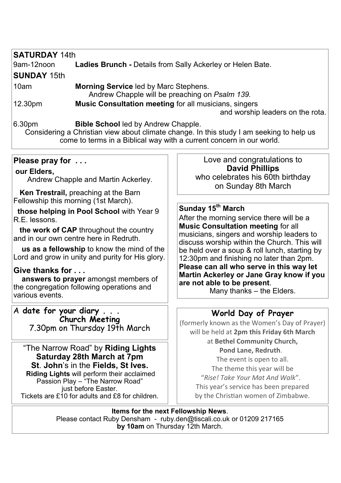| <b>SATURDAY 14th</b>                                                                                                                                                                                                     |                                                                                                  |                                                                                                                                                                      |  |  |  |  |
|--------------------------------------------------------------------------------------------------------------------------------------------------------------------------------------------------------------------------|--------------------------------------------------------------------------------------------------|----------------------------------------------------------------------------------------------------------------------------------------------------------------------|--|--|--|--|
| 9am-12noon                                                                                                                                                                                                               |                                                                                                  | <b>Ladies Brunch - Details from Sally Ackerley or Helen Bate.</b>                                                                                                    |  |  |  |  |
| <b>SUNDAY 15th</b>                                                                                                                                                                                                       |                                                                                                  |                                                                                                                                                                      |  |  |  |  |
| 10am                                                                                                                                                                                                                     | <b>Morning Service led by Marc Stephens.</b>                                                     |                                                                                                                                                                      |  |  |  |  |
|                                                                                                                                                                                                                          |                                                                                                  | Andrew Chapple will be preaching on Psalm 139.                                                                                                                       |  |  |  |  |
| 12.30pm                                                                                                                                                                                                                  | <b>Music Consultation meeting for all musicians, singers</b><br>and worship leaders on the rota. |                                                                                                                                                                      |  |  |  |  |
| 6.30pm<br><b>Bible School led by Andrew Chapple.</b><br>Considering a Christian view about climate change. In this study I am seeking to help us<br>come to terms in a Biblical way with a current concern in our world. |                                                                                                  |                                                                                                                                                                      |  |  |  |  |
| Please pray for                                                                                                                                                                                                          |                                                                                                  | Love and congratulations to<br><b>David Phillips</b>                                                                                                                 |  |  |  |  |
| our Elders,                                                                                                                                                                                                              |                                                                                                  |                                                                                                                                                                      |  |  |  |  |
| Andrew Chapple and Martin Ackerley.                                                                                                                                                                                      |                                                                                                  | who celebrates his 60th birthday<br>on Sunday 8th March                                                                                                              |  |  |  |  |
| Ken Trestrail, preaching at the Barn<br>Fellowship this morning (1st March).                                                                                                                                             |                                                                                                  |                                                                                                                                                                      |  |  |  |  |
|                                                                                                                                                                                                                          |                                                                                                  |                                                                                                                                                                      |  |  |  |  |
| R.E. lessons.                                                                                                                                                                                                            | those helping in Pool School with Year 9                                                         | Sunday 15 <sup>th</sup> March<br>After the morning service there will be a<br><b>Music Consultation meeting for all</b><br>musicians, singers and worship leaders to |  |  |  |  |
|                                                                                                                                                                                                                          |                                                                                                  |                                                                                                                                                                      |  |  |  |  |
|                                                                                                                                                                                                                          | the work of CAP throughout the country<br>and in our own centre here in Redruth.                 |                                                                                                                                                                      |  |  |  |  |
|                                                                                                                                                                                                                          | us as a fellowship to know the mind of the                                                       | discuss worship within the Church. This will<br>be held over a soup & roll lunch, starting by                                                                        |  |  |  |  |
|                                                                                                                                                                                                                          | Lord and grow in unity and purity for His glory.                                                 | 12:30pm and finishing no later than 2pm.                                                                                                                             |  |  |  |  |
| Give thanks for<br>answers to prayer amongst members of<br>the congregation following operations and<br>various events.                                                                                                  |                                                                                                  | Please can all who serve in this way let<br>Martin Ackerley or Jane Gray know if you<br>are not able to be present.<br>Many thanks - the Elders.                     |  |  |  |  |
|                                                                                                                                                                                                                          | A date for your diary                                                                            |                                                                                                                                                                      |  |  |  |  |
|                                                                                                                                                                                                                          | <b>Church Meeting</b>                                                                            | World Day of Prayer                                                                                                                                                  |  |  |  |  |
| 7.30pm on Thursday 19th March                                                                                                                                                                                            |                                                                                                  | (formerly known as the Women's Day of Prayer)<br>will be held at 2pm this Friday 6th March                                                                           |  |  |  |  |
|                                                                                                                                                                                                                          |                                                                                                  | at Bethel Community Church,                                                                                                                                          |  |  |  |  |
|                                                                                                                                                                                                                          | "The Narrow Road" by Riding Lights                                                               | Pond Lane, Redruth.                                                                                                                                                  |  |  |  |  |

**Saturday 28th March at 7pm**

**St**. **John**'s in the **Fields, St Ives.**

**Riding Lights** will perform their acclaimed Passion Play – "The Narrow Road" just before Easter. Tickets are £10 for adults and £8 for children.

The event is open to all. The theme this year will be "*Rise! Take Your Mat And Walk*". This year's service has been prepared by the Christian women of Zimbabwe.

**Items for the next Fellowship News**. Please contact Ruby Densham - ruby.den@tiscali.co.uk or 01209 217165 **by 10am** on Thursday 12th March.